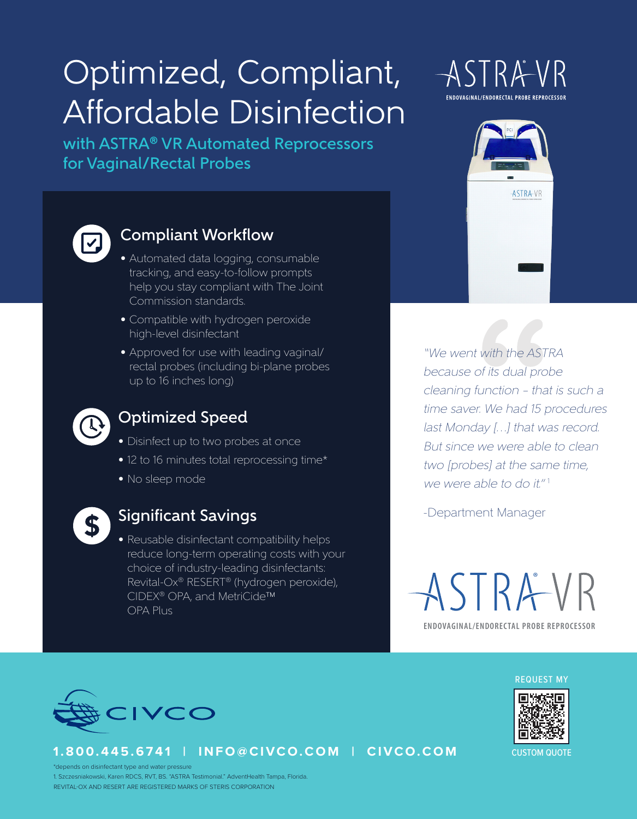# Optimized, Compliant, Affordable Disinfection

with ASTRA® VR Automated Reprocessors for Vaginal/Rectal Probes



# Compliant Workflow

- Automated data logging, consumable tracking, and easy-to-follow prompts help you stay compliant with The Joint Commission standards.
- Compatible with hydrogen peroxide high-level disinfectant
- Approved for use with leading vaginal/ rectal probes (including bi-plane probes up to 16 inches long)



## Optimized Speed

- Disinfect up to two probes at once
- 12 to 16 minutes total reprocessing time\*
- No sleep mode



### Significant Savings

• Reusable disinfectant compatibility helps reduce long-term operating costs with your choice of industry-leading disinfectants: Revital-Ox® RESERT® (hydrogen peroxide), CIDEX® OPA, and MetriCide™ OPA Plus





"We went with the ASTRA because of its dual probe cleaning function – that is such a time saver. We had 15 procedures last Monday […] that was record. But since we were able to clean two [probes] at the same time, we were able to do it."<sup>1</sup>

-Department Manager

**ENDOVAGINAL/ENDORECTAL PROBE REPROCESSOR** ASTRAVR



**1.800.445.6741 | INFO@CIVCO.COM | CIVCO.COM**





CUSTOM QUOTE